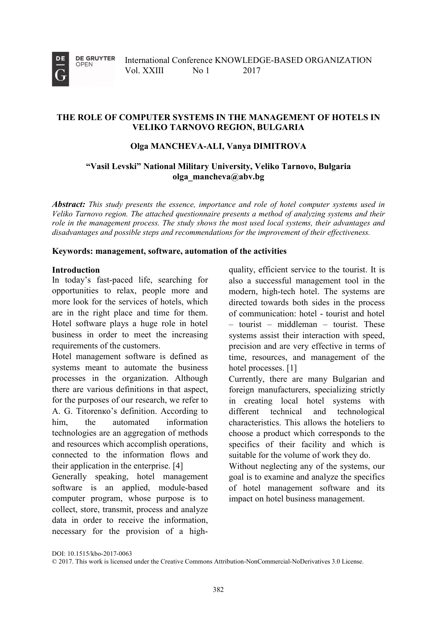**DE** 

OPEN

## **THE ROLE OF COMPUTER SYSTEMS IN THE MANAGEMENT OF HOTELS IN VELIKO TARNOVO REGION, BULGARIA**

### **Olga MANCHEVA-ALI, Vanya DIMITROVA**

# **"Vasil Levski" National Military University, Veliko Tarnovo, Bulgaria olga\_mancheva@abv.bg**

*Abstract: This study presents the essence, importance and role of hotel computer systems used in Veliko Tarnovo region. The attached questionnaire presents a method of analyzing systems and their role in the management process. The study shows the most used local systems, their advantages and disadvantages and possible steps and recommendations for the improvement of their effectiveness.*

### **Keywords: management, software, automation of the activities**

### **Introduction**

In today's fast-paced life, searching for opportunities to relax, people more and more look for the services of hotels, which are in the right place and time for them. Hotel software plays a huge role in hotel business in order to meet the increasing requirements of the customers.

Hotel management software is defined as systems meant to automate the business processes in the organization. Although there are various definitions in that aspect, for the purposes of our research, we refer to A. G. Titorenкo's definition. According to him, the automated information technologies are an aggregation of methods and resources which accomplish operations, connected to the information flows and their application in the enterprise. [4]

Generally speaking, hotel management software is an applied, module-based computer program, whose purpose is to collect, store, transmit, process and analyze data in order to receive the information, necessary for the provision of а highquality, efficient service to the tourist. It is also a successful management tool in the modern, high-tech hotel. The systems are directed towards both sides in the process of communication: hotel - tourist and hotel – tourist – middleman – tourist. These systems assist their interaction with speed, precision and are very effective in terms of time, resources, and management of the hotel processes. [1] Currently, there are many Bulgarian and

foreign manufacturers, specializing strictly in creating local hotel systems with different technical and technological characteristics. This allows the hoteliers to choose a product which corresponds to the specifics of their facility and which is suitable for the volume of work they do.

Without neglecting any of the systems, our goal is to examine and analyze the specifics of hotel management software and its impact on hotel business management.

DOI: 10.1515/kbo-2017-0063

<sup>©</sup> 2017. This work is licensed under the Creative Commons Attribution-NonCommercial-NoDerivatives 3.0 License.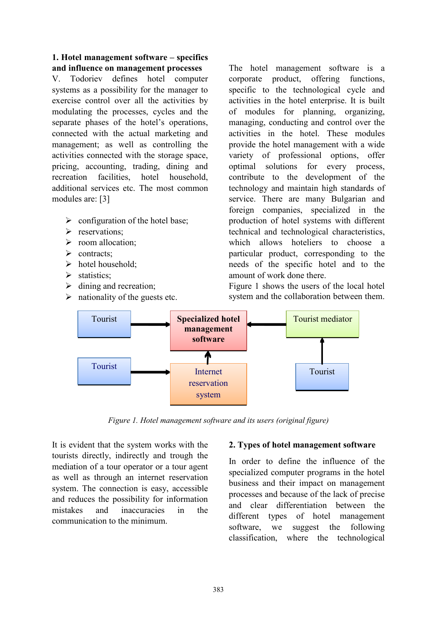# **1. Hotel management software – specifics and influence on management processes**

V. Todoriev defines hotel computer systems as a possibility for the manager to exercise control over all the activities by modulating the processes, cycles and the separate phases of the hotel's operations, connected with the actual marketing and management; as well as controlling the activities connected with the storage space, pricing, accounting, trading, dining and recreation facilities, hotel household, additional services etc. The most common modules are: [3]

- $\triangleright$  configuration of the hotel base;
- $\triangleright$  reservations;
- $\triangleright$  room allocation;
- $\triangleright$  contracts;
- $\triangleright$  hotel household;
- $\triangleright$  statistics;
- $\triangleright$  dining and recreation;
- $\triangleright$  nationality of the guests etc.

The hotel management software is a corporate product, offering functions, specific to the technological cycle and activities in the hotel enterprise. It is built of modules for planning, organizing, managing, conducting and control over the activities in the hotel. These modules provide the hotel management with a wide variety of professional options, offer optimal solutions for every process, contribute to the development of the technology and maintain high standards of service. There are many Bulgarian and foreign companies, specialized in the production of hotel systems with different technical and technological characteristics, which allows hoteliers to choose a particular product, corresponding to the needs of the specific hotel and to the amount of work done there.

Figure 1 shows the users of the local hotel system and the collaboration between them.



*Figure 1. Hotel management software and its users (original figure)*

It is evident that the system works with the tourists directly, indirectly and trough the mediation of a tour operator or a tour agent as well as through an internet reservation system. The connection is easy, accessible and reduces the possibility for information mistakes and inaccuracies in the communication to the minimum.

## **2. Types of hotel management software**

In order to define the influence of the specialized computer programs in the hotel business and their impact on management processes and because of the lack of precise and clear differentiation between the different types of hotel management software, we suggest the following classification, where the technological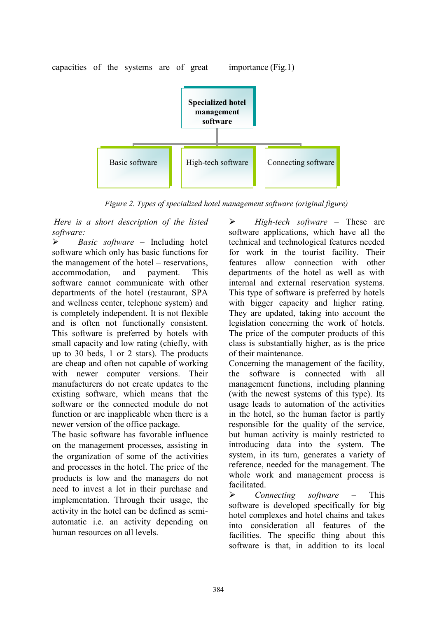capacities of the systems are of great importance (Fig.1)



*Figure 2. Types of specialized hotel management software (original figure)*

*Here is a short description of the listed software:*

 *Basic software* – Including hotel software which only has basic functions for the management of the hotel – reservations, accommodation, and payment. This software cannot communicate with other departments of the hotel (restaurant, SPA and wellness center, telephone system) and is completely independent. It is not flexible and is often not functionally consistent. This software is preferred by hotels with small capacity and low rating (chiefly, with up to 30 beds, 1 or 2 stars). The products are cheap and often not capable of working with newer computer versions. Their manufacturers do not create updates to the existing software, which means that the software or the connected module do not function or are inapplicable when there is a newer version of the office package.

The basic software has favorable influence on the management processes, assisting in the organization of some of the activities and processes in the hotel. The price of the products is low and the managers do not need to invest a lot in their purchase and implementation. Through their usage, the activity in the hotel can be defined as semiautomatic i.e. an activity depending on human resources on all levels.

 *High-tech software* – These are software applications, which have all the technical and technological features needed for work in the tourist facility. Their features allow connection with other departments of the hotel as well as with internal and external reservation systems. This type of software is preferred by hotels with bigger capacity and higher rating. They are updated, taking into account the legislation concerning the work of hotels. The price of the computer products of this class is substantially higher, as is the price of their maintenance.

Concerning the management of the facility, the software is connected with all management functions, including planning (with the newest systems of this type). Its usage leads to automation of the activities in the hotel, so the human factor is partly responsible for the quality of the service, but human activity is mainly restricted to introducing data into the system. The system, in its turn, generates a variety of reference, needed for the management. The whole work and management process is facilitated.

 *Connecting software* – This software is developed specifically for big hotel complexes and hotel chains and takes into consideration all features of the facilities. The specific thing about this software is that, in addition to its local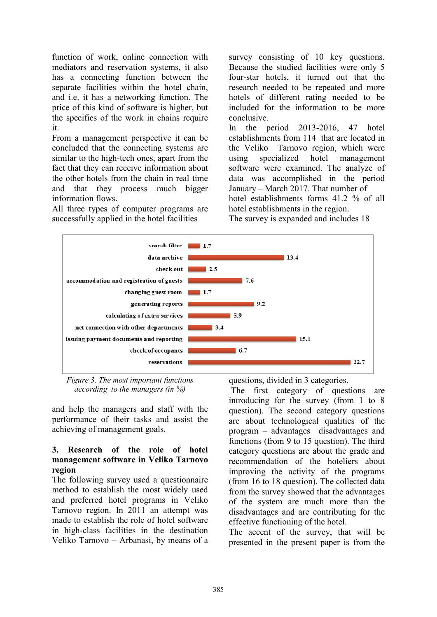function of work, online connection with mediators and reservation systems, it also has a connecting function between the separate facilities within the hotel chain, and i.e. it has a networking function. The price of this kind of software is higher, but the specifics of the work in chains require it.

From a management perspective it can be concluded that the connecting systems are similar to the high-tech ones, apart from the fact that they can receive information about the other hotels from the chain in real time and that they process much bigger information flows.

All three types of computer programs are successfully applied in the hotel facilities

survey consisting of 10 key questions. Because the studied facilities were only 5 four-star hotels, it turned out that the research needed to be repeated and more hotels of different rating needed to be included for the information to be more conclusive.

In the period 2013-2016, 47 hotel establishments from 114 that are located in the Veliko Tarnovo region, which were<br>using specialized hotel management using specialized hotel software were examined. The analyze of data was accomplished in the period January – March 2017. That number of hotel establishments forms 41.2 % of all hotel establishments in the region.

The survey is expanded and includes 18



*Figure 3. The most important functions according to the managers (in %)*

and help the managers and staff with the performance of their tasks and assist the achieving of management goals.

### **3. Research of the role of hotel management software in Veliko Tarnovo region**

The following survey used a questionnaire method to establish the most widely used and preferred hotel programs in Veliko Tarnovo region. In 2011 an attempt was made to establish the role of hotel software in high-class facilities in the destination Veliko Tarnovo – Arbanasi, by means of a questions, divided in 3 categories.

The first category of questions are introducing for the survey (from 1 to 8 question). The second category questions are about technological qualities of the program – advantages disadvantages and functions (from 9 to 15 question). The third category questions are about the grade and recommendation of the hoteliers about improving the activity of the programs (from 16 to 18 question). The collected data from the survey showed that the advantages of the system are much more than the disadvantages and are contributing for the effective functioning of the hotel.

The accent of the survey, that will be presented in the present paper is from the